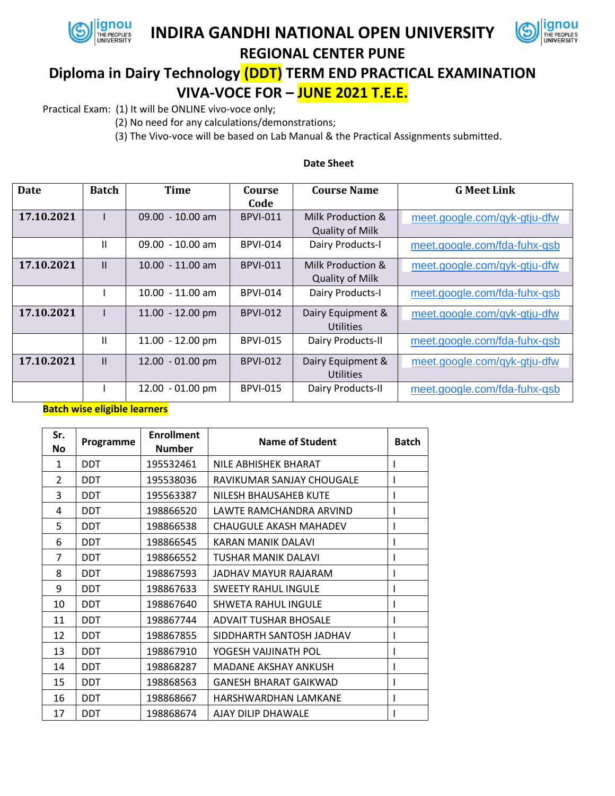

## **INDIRA GANDHI NATIONAL OPEN UNIVERSITY**



## **REGIONAL CENTER PUNE**

# **Diploma in Dairy Technology (DDT) TERM END PRACTICAL EXAMINATION VIVA-VOCE FOR – JUNE 2021 T.E.E.**

Practical Exam: (1) It will be ONLINE vivo-voce only;

(2) No need for any calculations/demonstrations;

(3) The Vivo-voce will be based on Lab Manual & the Practical Assignments submitted.

| Date       | <b>Batch</b> | Time               | Course          | <b>Course Name</b>     | <b>G Meet Link</b>           |
|------------|--------------|--------------------|-----------------|------------------------|------------------------------|
|            |              |                    | Code            |                        |                              |
| 17.10.2021 |              | $09.00 - 10.00$ am | <b>BPVI-011</b> | Milk Production &      | meet.google.com/gyk-gtju-dfw |
|            |              |                    |                 | <b>Quality of Milk</b> |                              |
|            | Ш            | $09.00 - 10.00$ am | <b>BPVI-014</b> | Dairy Products-I       | meet.google.com/fda-fuhx-gsb |
| 17.10.2021 | $\mathbf{H}$ | $10.00 - 11.00$ am | <b>BPVI-011</b> | Milk Production &      | meet.google.com/qyk-gtju-dfw |
|            |              |                    |                 | <b>Quality of Milk</b> |                              |
|            |              | 10.00 - 11.00 am   | <b>BPVI-014</b> | Dairy Products-I       | meet.google.com/fda-fuhx-gsb |
| 17.10.2021 |              | 11.00 - 12.00 pm   | <b>BPVI-012</b> | Dairy Equipment &      | meet.google.com/qyk-gtju-dfw |
|            |              |                    |                 | Utilities              |                              |
|            | Ш            | 11.00 - 12.00 pm   | <b>BPVI-015</b> | Dairy Products-II      | meet.google.com/fda-fuhx-qsb |
| 17.10.2021 | $\mathbf{H}$ | 12.00 - 01.00 pm   | <b>BPVI-012</b> | Dairy Equipment &      | meet.google.com/qyk-gtju-dfw |
|            |              |                    |                 | <b>Utilities</b>       |                              |
|            |              | 12.00 - 01.00 pm   | <b>BPVI-015</b> | Dairy Products-II      | meet.google.com/fda-fuhx-gsb |

### **Date Sheet**

#### **Batch wise eligible learners**

| Sr.<br><b>No</b> | Programme  | <b>Enrollment</b><br><b>Number</b> | Name of Student               | <b>Batch</b> |
|------------------|------------|------------------------------------|-------------------------------|--------------|
| 1                | <b>DDT</b> | 195532461                          | NILE ABHISHEK BHARAT          |              |
| $\overline{2}$   | DDT        | 195538036                          | RAVIKUMAR SANJAY CHOUGALE     |              |
| 3                | <b>DDT</b> | 195563387                          | NILESH BHAUSAHEB KUTE         |              |
| 4                | <b>DDT</b> | 198866520                          | LAWTE RAMCHANDRA ARVIND       |              |
| 5                | DDT        | 198866538                          | <b>CHAUGULE AKASH MAHADEV</b> |              |
| 6                | <b>DDT</b> | 198866545                          | KARAN MANIK DALAVI            |              |
| 7                | DDT        | 198866552                          | TUSHAR MANIK DALAVI           |              |
| 8                | <b>DDT</b> | 198867593                          | JADHAV MAYUR RAJARAM          |              |
| 9                | DDT        | 198867633                          | <b>SWEETY RAHUL INGULE</b>    | I            |
| 10               | DDT        | 198867640                          | <b>SHWETA RAHUL INGULE</b>    |              |
| 11               | <b>DDT</b> | 198867744                          | <b>ADVAIT TUSHAR BHOSALE</b>  |              |
| 12               | <b>DDT</b> | 198867855                          | SIDDHARTH SANTOSH JADHAV      |              |
| 13               | DDT        | 198867910                          | YOGESH VAIJINATH POL          |              |
| 14               | <b>DDT</b> | 198868287                          | MADANE AKSHAY ANKUSH          |              |
| 15               | <b>DDT</b> | 198868563                          | GANESH BHARAT GAIKWAD         |              |
| 16               | DDT        | 198868667                          | HARSHWARDHAN LAMKANE          |              |
| 17               | DDT        | 198868674                          | AJAY DILIP DHAWALE            |              |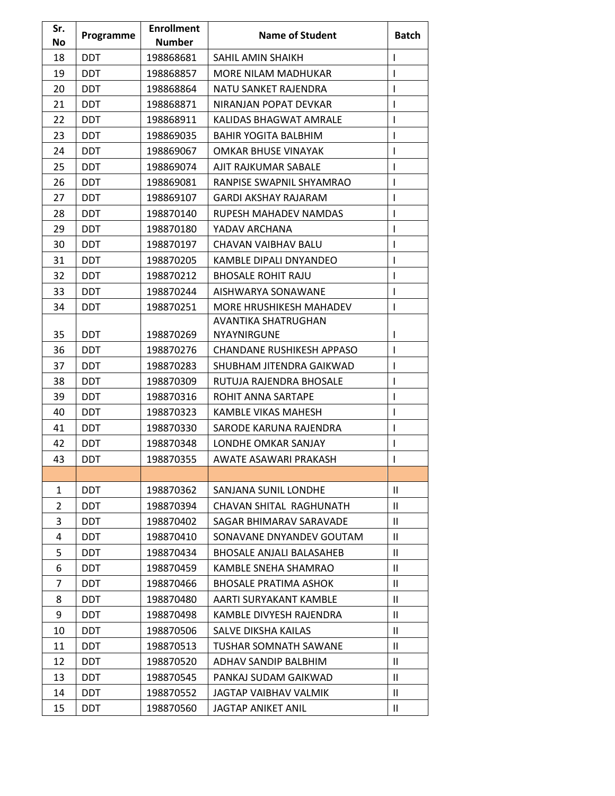| Sr. | Programme  | <b>Enrollment</b> | <b>Name of Student</b>          | <b>Batch</b>  |
|-----|------------|-------------------|---------------------------------|---------------|
| No  |            | <b>Number</b>     |                                 |               |
| 18  | <b>DDT</b> | 198868681         | SAHIL AMIN SHAIKH               | I             |
| 19  | <b>DDT</b> | 198868857         | MORE NILAM MADHUKAR             | I             |
| 20  | <b>DDT</b> | 198868864         | NATU SANKET RAJENDRA            | I             |
| 21  | <b>DDT</b> | 198868871         | NIRANJAN POPAT DEVKAR           | I             |
| 22  | <b>DDT</b> | 198868911         | KALIDAS BHAGWAT AMRALE          | I             |
| 23  | <b>DDT</b> | 198869035         | <b>BAHIR YOGITA BALBHIM</b>     | I             |
| 24  | <b>DDT</b> | 198869067         | OMKAR BHUSE VINAYAK             | I             |
| 25  | <b>DDT</b> | 198869074         | AJIT RAJKUMAR SABALE            | I             |
| 26  | <b>DDT</b> | 198869081         | RANPISE SWAPNIL SHYAMRAO        | I             |
| 27  | <b>DDT</b> | 198869107         | <b>GARDI AKSHAY RAJARAM</b>     | I             |
| 28  | <b>DDT</b> | 198870140         | RUPESH MAHADEV NAMDAS           | I             |
| 29  | DDT        | 198870180         | YADAV ARCHANA                   | I             |
| 30  | <b>DDT</b> | 198870197         | CHAVAN VAIBHAV BALU             | I             |
| 31  | <b>DDT</b> | 198870205         | KAMBLE DIPALI DNYANDEO          | I             |
| 32  | <b>DDT</b> | 198870212         | <b>BHOSALE ROHIT RAJU</b>       | $\mathsf{I}$  |
| 33  | <b>DDT</b> | 198870244         | AISHWARYA SONAWANE              | $\mathsf{I}$  |
| 34  | <b>DDT</b> | 198870251         | MORE HRUSHIKESH MAHADEV         | I             |
|     |            |                   | AVANTIKA SHATRUGHAN             |               |
| 35  | <b>DDT</b> | 198870269         | NYAYNIRGUNE                     | I             |
| 36  | <b>DDT</b> | 198870276         | CHANDANE RUSHIKESH APPASO       | I             |
| 37  | <b>DDT</b> | 198870283         | SHUBHAM JITENDRA GAIKWAD        | I             |
| 38  | <b>DDT</b> | 198870309         | RUTUJA RAJENDRA BHOSALE         | I             |
| 39  | <b>DDT</b> | 198870316         | ROHIT ANNA SARTAPE              | I             |
| 40  | <b>DDT</b> | 198870323         | <b>KAMBLE VIKAS MAHESH</b>      | I             |
| 41  | <b>DDT</b> | 198870330         | SARODE KARUNA RAJENDRA          | I             |
| 42  | <b>DDT</b> | 198870348         | LONDHE OMKAR SANJAY             | L             |
| 43  | <b>DDT</b> | 198870355         | AWATE ASAWARI PRAKASH           | I             |
|     |            |                   |                                 |               |
| 1   | <b>DDT</b> | 198870362         | SANJANA SUNIL LONDHE            | $\mathbf{H}$  |
| 2   | <b>DDT</b> | 198870394         | CHAVAN SHITAL RAGHUNATH         | $\mathbf{H}$  |
| 3   | <b>DDT</b> | 198870402         | SAGAR BHIMARAV SARAVADE         | $\mathbf{H}$  |
| 4   | <b>DDT</b> | 198870410         | SONAVANE DNYANDEV GOUTAM        | $\mathbf{H}$  |
| 5   | <b>DDT</b> | 198870434         | <b>BHOSALE ANJALI BALASAHEB</b> | $\mathbf{H}$  |
| 6   | <b>DDT</b> | 198870459         | KAMBLE SNEHA SHAMRAO            | $\mathbf{H}$  |
| 7   | <b>DDT</b> | 198870466         | <b>BHOSALE PRATIMA ASHOK</b>    | Ш             |
| 8   | <b>DDT</b> | 198870480         | AARTI SURYAKANT KAMBLE          | $\mathbf{H}$  |
| 9   | <b>DDT</b> | 198870498         | KAMBLE DIVYESH RAJENDRA         | $\mathbf{H}$  |
| 10  | <b>DDT</b> | 198870506         | SALVE DIKSHA KAILAS             | $\mathbf{H}$  |
| 11  | <b>DDT</b> | 198870513         | <b>TUSHAR SOMNATH SAWANE</b>    | $\mathbf{H}$  |
| 12  | <b>DDT</b> | 198870520         | ADHAV SANDIP BALBHIM            | Ш             |
| 13  | DDT        | 198870545         | PANKAJ SUDAM GAIKWAD            | $\mathbf{II}$ |
| 14  | <b>DDT</b> | 198870552         | JAGTAP VAIBHAV VALMIK           | $\mathbf{H}$  |
| 15  | <b>DDT</b> | 198870560         | JAGTAP ANIKET ANIL              | $\mathbf{H}$  |